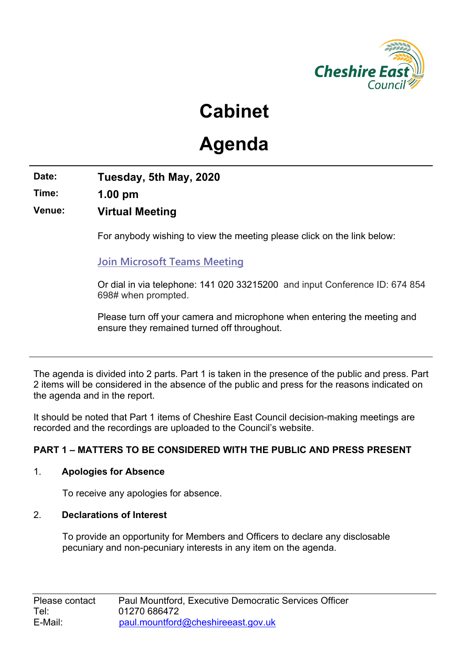

## **Cabinet**

# **Agenda**

**Date: Tuesday, 5th May, 2020**

**Time: 1.00 pm**

**Venue: Virtual Meeting**

For anybody wishing to view the meeting please click on the link below:

**Join [Microsoft](https://teams.microsoft.com/l/meetup-join/19%3ameeting_ZGQwOGRkNjItYjZjZC00MTMzLWFlODAtYTg1NzRhMzg2NTlh%40thread.v2/0?context=%7b%22Tid%22%3a%22cdb92d10-23cb-4ac1-a9b3-34f4faaa2851%22%2c%22Oid%22%3a%2248fc6a32-e8b7-494a-a2de-7618c26db8a4%22%7d) Teams Meeting**

Or dial in via telephone: 141 020 [33215200](tel:+442033215200,,674854698#) and input Conference ID: 674 854 698# when prompted.

Please turn off your camera and microphone when entering the meeting and ensure they remained turned off throughout.

The agenda is divided into 2 parts. Part 1 is taken in the presence of the public and press. Part 2 items will be considered in the absence of the public and press for the reasons indicated on the agenda and in the report.

It should be noted that Part 1 items of Cheshire East Council decision-making meetings are recorded and the recordings are uploaded to the Council's website.

## **PART 1 – MATTERS TO BE CONSIDERED WITH THE PUBLIC AND PRESS PRESENT**

## 1. **Apologies for Absence**

To receive any apologies for absence.

## 2. **Declarations of Interest**

To provide an opportunity for Members and Officers to declare any disclosable pecuniary and non-pecuniary interests in any item on the agenda.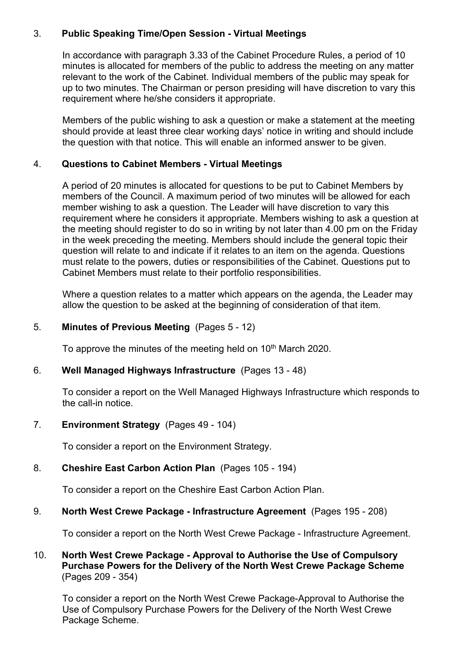## 3. **Public Speaking Time/Open Session - Virtual Meetings**

In accordance with paragraph 3.33 of the Cabinet Procedure Rules, a period of 10 minutes is allocated for members of the public to address the meeting on any matter relevant to the work of the Cabinet. Individual members of the public may speak for up to two minutes. The Chairman or person presiding will have discretion to vary this requirement where he/she considers it appropriate.

Members of the public wishing to ask a question or make a statement at the meeting should provide at least three clear working days' notice in writing and should include the question with that notice. This will enable an informed answer to be given.

## 4. **Questions to Cabinet Members - Virtual Meetings**

A period of 20 minutes is allocated for questions to be put to Cabinet Members by members of the Council. A maximum period of two minutes will be allowed for each member wishing to ask a question. The Leader will have discretion to vary this requirement where he considers it appropriate. Members wishing to ask a question at the meeting should register to do so in writing by not later than 4.00 pm on the Friday in the week preceding the meeting. Members should include the general topic their question will relate to and indicate if it relates to an item on the agenda. Questions must relate to the powers, duties or responsibilities of the Cabinet. Questions put to Cabinet Members must relate to their portfolio responsibilities.

Where a question relates to a matter which appears on the agenda, the Leader may allow the question to be asked at the beginning of consideration of that item.

#### 5. **Minutes of Previous Meeting** (Pages 5 - 12)

To approve the minutes of the meeting held on 10<sup>th</sup> March 2020.

#### 6. **Well Managed Highways Infrastructure** (Pages 13 - 48)

To consider a report on the Well Managed Highways Infrastructure which responds to the call-in notice.

## 7. **Environment Strategy** (Pages 49 - 104)

To consider a report on the Environment Strategy.

#### 8. **Cheshire East Carbon Action Plan** (Pages 105 - 194)

To consider a report on the Cheshire East Carbon Action Plan.

#### 9. **North West Crewe Package - Infrastructure Agreement** (Pages 195 - 208)

To consider a report on the North West Crewe Package - Infrastructure Agreement.

## 10. **North West Crewe Package - Approval to Authorise the Use of Compulsory Purchase Powers for the Delivery of the North West Crewe Package Scheme**  (Pages 209 - 354)

To consider a report on the North West Crewe Package-Approval to Authorise the Use of Compulsory Purchase Powers for the Delivery of the North West Crewe Package Scheme.